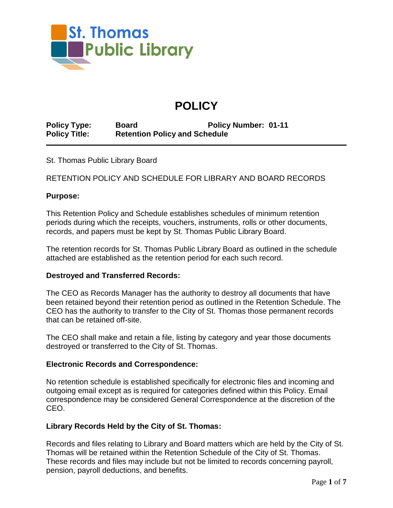

# **POLICY**

**Policy Type: Board Policy Number: 01-11 Policy Title: Retention Policy and Schedule**

St. Thomas Public Library Board

RETENTION POLICY AND SCHEDULE FOR LIBRARY AND BOARD RECORDS

### **Purpose:**

This Retention Policy and Schedule establishes schedules of minimum retention periods during which the receipts, vouchers, instruments, rolls or other documents, records, and papers must be kept by St. Thomas Public Library Board.

The retention records for St. Thomas Public Library Board as outlined in the schedule attached are established as the retention period for each such record.

## **Destroyed and Transferred Records:**

The CEO as Records Manager has the authority to destroy all documents that have been retained beyond their retention period as outlined in the Retention Schedule. The CEO has the authority to transfer to the City of St. Thomas those permanent records that can be retained off-site.

The CEO shall make and retain a file, listing by category and year those documents destroyed or transferred to the City of St. Thomas.

#### **Electronic Records and Correspondence:**

No retention schedule is established specifically for electronic files and incoming and outgoing email except as is required for categories defined within this Policy. Email correspondence may be considered General Correspondence at the discretion of the CEO.

## **Library Records Held by the City of St. Thomas:**

Records and files relating to Library and Board matters which are held by the City of St. Thomas will be retained within the Retention Schedule of the City of St. Thomas. These records and files may include but not be limited to records concerning payroll, pension, payroll deductions, and benefits.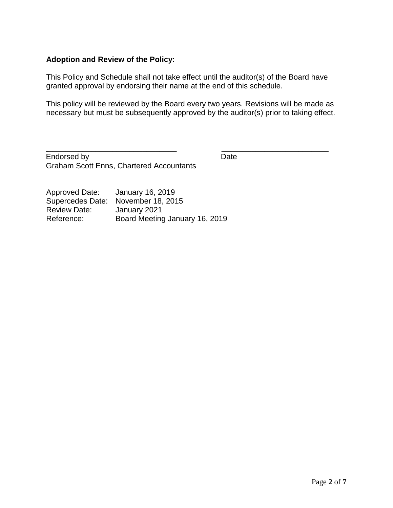# **Adoption and Review of the Policy:**

This Policy and Schedule shall not take effect until the auditor(s) of the Board have granted approval by endorsing their name at the end of this schedule.

This policy will be reviewed by the Board every two years. Revisions will be made as necessary but must be subsequently approved by the auditor(s) prior to taking effect.

\_\_\_\_\_\_\_\_\_\_\_\_\_\_\_\_\_\_\_\_\_\_\_\_\_\_\_\_\_\_ \_\_\_\_\_\_\_\_\_\_\_\_\_\_\_\_\_\_\_\_\_\_\_\_\_

Endorsed by Date Date Graham Scott Enns, Chartered Accountants

Approved Date: January 16, 2019 Supercedes Date: November 18, 2015 Review Date: January 2021 Reference: Board Meeting January 16, 2019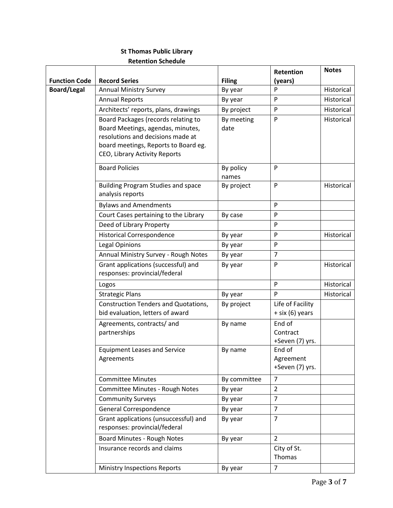# **St Thomas Public Library Retention Schedule**

|                      |                                                                                                                                                                                        |                    | <b>Retention</b>                       | <b>Notes</b> |
|----------------------|----------------------------------------------------------------------------------------------------------------------------------------------------------------------------------------|--------------------|----------------------------------------|--------------|
| <b>Function Code</b> | <b>Record Series</b>                                                                                                                                                                   | <b>Filing</b>      | (years)                                |              |
| <b>Board/Legal</b>   | <b>Annual Ministry Survey</b>                                                                                                                                                          | By year            | P                                      | Historical   |
|                      | <b>Annual Reports</b>                                                                                                                                                                  | By year            | P                                      | Historical   |
|                      | Architects' reports, plans, drawings                                                                                                                                                   | By project         | $\mathsf{P}$                           | Historical   |
|                      | Board Packages (records relating to<br>Board Meetings, agendas, minutes,<br>resolutions and decisions made at<br>board meetings, Reports to Board eg.<br>CEO, Library Activity Reports | By meeting<br>date | $\mathsf{P}$                           | Historical   |
|                      | <b>Board Policies</b>                                                                                                                                                                  | By policy<br>names | P                                      |              |
|                      | <b>Building Program Studies and space</b><br>analysis reports                                                                                                                          | By project         | P                                      | Historical   |
|                      | <b>Bylaws and Amendments</b>                                                                                                                                                           |                    | P                                      |              |
|                      | Court Cases pertaining to the Library                                                                                                                                                  | By case            | P                                      |              |
|                      | Deed of Library Property                                                                                                                                                               |                    | P                                      |              |
|                      | <b>Historical Correspondence</b>                                                                                                                                                       | By year            | P                                      | Historical   |
|                      | <b>Legal Opinions</b>                                                                                                                                                                  | By year            | P                                      |              |
|                      | Annual Ministry Survey - Rough Notes                                                                                                                                                   | By year            | $\overline{7}$                         |              |
|                      | Grant applications (successful) and<br>responses: provincial/federal                                                                                                                   | By year            | P                                      | Historical   |
|                      | Logos                                                                                                                                                                                  |                    | P                                      | Historical   |
|                      | <b>Strategic Plans</b>                                                                                                                                                                 | By year            | P                                      | Historical   |
|                      | <b>Construction Tenders and Quotations,</b><br>bid evaluation, letters of award                                                                                                        | By project         | Life of Facility<br>+ six (6) years    |              |
|                      | Agreements, contracts/ and<br>partnerships                                                                                                                                             | By name            | End of<br>Contract<br>+Seven (7) yrs.  |              |
|                      | <b>Equipment Leases and Service</b><br>Agreements                                                                                                                                      | By name            | End of<br>Agreement<br>+Seven (7) yrs. |              |
|                      | <b>Committee Minutes</b>                                                                                                                                                               | By committee       | $\overline{7}$                         |              |
|                      | Committee Minutes - Rough Notes                                                                                                                                                        | By year            | $\overline{2}$                         |              |
|                      | <b>Community Surveys</b>                                                                                                                                                               | By year            | $\overline{7}$                         |              |
|                      | General Correspondence                                                                                                                                                                 | By year            | $\overline{7}$                         |              |
|                      | Grant applications (unsuccessful) and<br>responses: provincial/federal                                                                                                                 | By year            | $\overline{7}$                         |              |
|                      | Board Minutes - Rough Notes                                                                                                                                                            | By year            | $\overline{2}$                         |              |
|                      | Insurance records and claims                                                                                                                                                           |                    | City of St.<br>Thomas                  |              |
|                      | <b>Ministry Inspections Reports</b>                                                                                                                                                    | By year            | $\overline{7}$                         |              |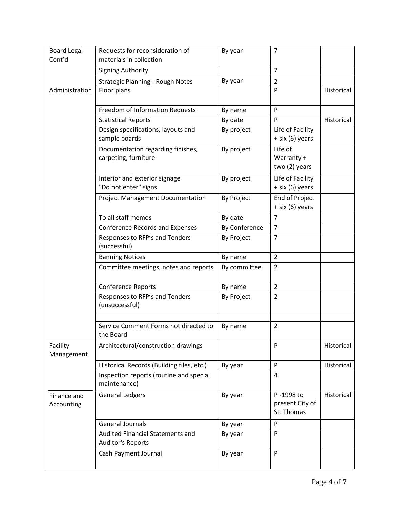| <b>Board Legal</b><br>Cont'd | Requests for reconsideration of<br>materials in collection   | By year       | $\overline{7}$                             |            |
|------------------------------|--------------------------------------------------------------|---------------|--------------------------------------------|------------|
|                              | <b>Signing Authority</b>                                     |               | $\overline{7}$                             |            |
|                              | Strategic Planning - Rough Notes                             | By year       | $\overline{2}$                             |            |
| Administration               | Floor plans                                                  |               | P                                          | Historical |
|                              | Freedom of Information Requests                              | By name       | P                                          |            |
|                              | <b>Statistical Reports</b>                                   | By date       | P                                          | Historical |
|                              | Design specifications, layouts and                           | By project    | Life of Facility                           |            |
|                              | sample boards                                                |               | + six (6) years                            |            |
|                              | Documentation regarding finishes,                            | By project    | Life of                                    |            |
|                              | carpeting, furniture                                         |               | Warranty +                                 |            |
|                              |                                                              |               | two (2) years                              |            |
|                              | Interior and exterior signage<br>"Do not enter" signs        | By project    | Life of Facility<br>$+$ six (6) years      |            |
|                              | <b>Project Management Documentation</b>                      | By Project    | End of Project<br>+ six (6) years          |            |
|                              | To all staff memos                                           | By date       | $\overline{7}$                             |            |
|                              | <b>Conference Records and Expenses</b>                       | By Conference | 7                                          |            |
|                              | Responses to RFP's and Tenders<br>(successful)               | By Project    | $\overline{7}$                             |            |
|                              | <b>Banning Notices</b>                                       | By name       | $\overline{2}$                             |            |
|                              | Committee meetings, notes and reports                        | By committee  | 2                                          |            |
|                              | Conference Reports                                           | By name       | $\overline{2}$                             |            |
|                              | Responses to RFP's and Tenders<br>(unsuccessful)             | By Project    | $\overline{2}$                             |            |
|                              |                                                              |               |                                            |            |
|                              | Service Comment Forms not directed to<br>the Board           | By name       | $\overline{2}$                             |            |
| Facility<br>Management       | Architectural/construction drawings                          |               | P                                          | Historical |
|                              | Historical Records (Building files, etc.)                    | By year       | P                                          | Historical |
|                              | Inspection reports (routine and special<br>maintenance)      |               | 4                                          |            |
| Finance and<br>Accounting    | <b>General Ledgers</b>                                       | By year       | P-1998 to<br>present City of<br>St. Thomas | Historical |
|                              | <b>General Journals</b>                                      | By year       | P                                          |            |
|                              | Audited Financial Statements and<br><b>Auditor's Reports</b> | By year       | P                                          |            |
|                              | Cash Payment Journal                                         | By year       | P                                          |            |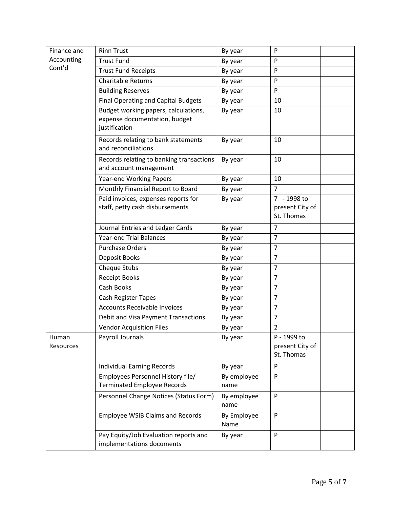| Finance and | <b>Rinn Trust</b>                                                       | By year             | P                             |
|-------------|-------------------------------------------------------------------------|---------------------|-------------------------------|
| Accounting  | <b>Trust Fund</b>                                                       | By year             | $\mathsf{P}$                  |
| Cont'd      | <b>Trust Fund Receipts</b>                                              | By year             | P                             |
|             | <b>Charitable Returns</b>                                               | By year             | P                             |
|             | <b>Building Reserves</b>                                                | By year             | P                             |
|             | <b>Final Operating and Capital Budgets</b>                              | By year             | 10                            |
|             | Budget working papers, calculations,                                    | By year             | 10                            |
|             | expense documentation, budget                                           |                     |                               |
|             | justification                                                           |                     |                               |
|             | Records relating to bank statements                                     | By year             | 10                            |
|             | and reconciliations                                                     |                     |                               |
|             | Records relating to banking transactions                                | By year             | 10                            |
|             | and account management                                                  |                     |                               |
|             | <b>Year-end Working Papers</b>                                          | By year             | 10                            |
|             | Monthly Financial Report to Board                                       | By year             | 7                             |
|             | Paid invoices, expenses reports for                                     | By year             | 7 - 1998 to                   |
|             | staff, petty cash disbursements                                         |                     | present City of<br>St. Thomas |
|             |                                                                         |                     |                               |
|             | Journal Entries and Ledger Cards                                        | By year             | $\overline{7}$                |
|             | <b>Year-end Trial Balances</b>                                          | By year             | $\overline{7}$                |
|             | <b>Purchase Orders</b>                                                  | By year             | $\overline{7}$                |
|             | Deposit Books                                                           | By year             | $\overline{7}$                |
|             | Cheque Stubs                                                            | By year             | $\overline{7}$                |
|             | <b>Receipt Books</b>                                                    | By year             | $\overline{7}$                |
|             | Cash Books                                                              | By year             | $\overline{7}$                |
|             | Cash Register Tapes                                                     | By year             | $\overline{7}$                |
|             | <b>Accounts Receivable Invoices</b>                                     | By year             | $\overline{7}$                |
|             | Debit and Visa Payment Transactions                                     | By year             | $\overline{7}$                |
|             | <b>Vendor Acquisition Files</b>                                         | By year             | $\overline{2}$                |
| Human       | Payroll Journals                                                        | By year             | P - 1999 to                   |
| Resources   |                                                                         |                     | present City of<br>St. Thomas |
|             |                                                                         |                     |                               |
|             | <b>Individual Earning Records</b>                                       | By year             | P                             |
|             | Employees Personnel History file/<br><b>Terminated Employee Records</b> | By employee<br>name | ${\sf P}$                     |
|             |                                                                         |                     |                               |
|             | Personnel Change Notices (Status Form)                                  | By employee<br>name | P                             |
|             | <b>Employee WSIB Claims and Records</b>                                 | By Employee         | P                             |
|             |                                                                         | Name                |                               |
|             | Pay Equity/Job Evaluation reports and                                   | By year             | P                             |
|             | implementations documents                                               |                     |                               |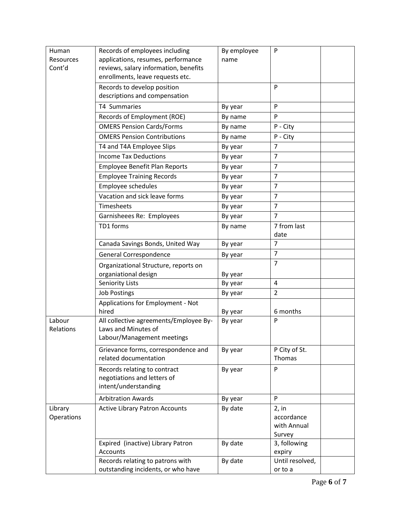| Human      | Records of employees including         | By employee | $\mathsf{P}$    |
|------------|----------------------------------------|-------------|-----------------|
| Resources  | applications, resumes, performance     | name        |                 |
| Cont'd     | reviews, salary information, benefits  |             |                 |
|            | enrollments, leave requests etc.       |             |                 |
|            | Records to develop position            |             | P               |
|            | descriptions and compensation          |             |                 |
|            | T4 Summaries                           | By year     | P               |
|            | Records of Employment (ROE)            | By name     | P               |
|            | <b>OMERS Pension Cards/Forms</b>       | By name     | P - City        |
|            | <b>OMERS Pension Contributions</b>     | By name     | P - City        |
|            | T4 and T4A Employee Slips              | By year     | $\overline{7}$  |
|            | <b>Income Tax Deductions</b>           | By year     | $\overline{7}$  |
|            | <b>Employee Benefit Plan Reports</b>   | By year     | $\overline{7}$  |
|            | <b>Employee Training Records</b>       | By year     | $\overline{7}$  |
|            | Employee schedules                     | By year     | $\overline{7}$  |
|            | Vacation and sick leave forms          | By year     | $\overline{7}$  |
|            | Timesheets                             | By year     | $\overline{7}$  |
|            | Garnisheees Re: Employees              | By year     | $\overline{7}$  |
|            | TD1 forms                              | By name     | 7 from last     |
|            |                                        |             | date            |
|            | Canada Savings Bonds, United Way       | By year     | 7               |
|            | General Correspondence                 | By year     | $\overline{7}$  |
|            | Organizational Structure, reports on   |             | $\overline{7}$  |
|            | organiational design                   | By year     |                 |
|            | <b>Seniority Lists</b>                 | By year     | 4               |
|            | <b>Job Postings</b>                    | By year     | $\overline{2}$  |
|            | Applications for Employment - Not      |             |                 |
|            | hired                                  | By year     | 6 months        |
| Labour     | All collective agreements/Employee By- | By year     | P               |
| Relations  | Laws and Minutes of                    |             |                 |
|            | Labour/Management meetings             |             |                 |
|            | Grievance forms, correspondence and    | By year     | P City of St.   |
|            | related documentation                  |             | <b>Thomas</b>   |
|            | Records relating to contract           | By year     | P               |
|            | negotiations and letters of            |             |                 |
|            | intent/understanding                   |             |                 |
|            | <b>Arbitration Awards</b>              | By year     | P               |
| Library    | <b>Active Library Patron Accounts</b>  | By date     | 2, in           |
| Operations |                                        |             | accordance      |
|            |                                        |             | with Annual     |
|            |                                        |             | Survey          |
|            | Expired (inactive) Library Patron      | By date     | 3, following    |
|            | Accounts                               |             | expiry          |
|            | Records relating to patrons with       | By date     | Until resolved, |
|            | outstanding incidents, or who have     |             | or to a         |